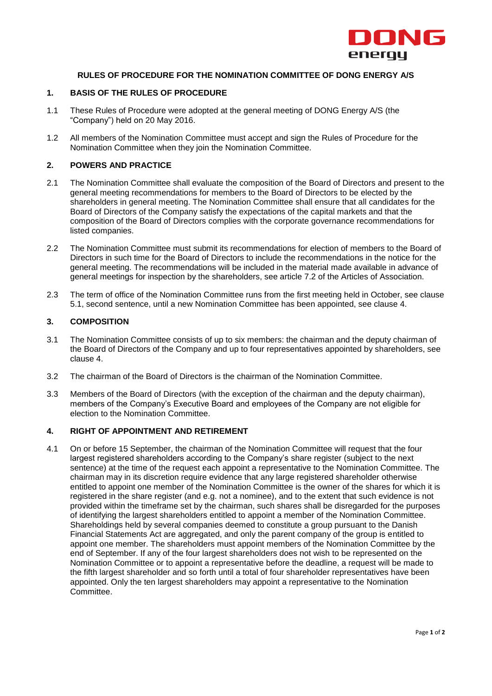

## **RULES OF PROCEDURE FOR THE NOMINATION COMMITTEE OF DONG ENERGY A/S**

### **1. BASIS OF THE RULES OF PROCEDURE**

- 1.1 These Rules of Procedure were adopted at the general meeting of DONG Energy A/S (the "Company") held on 20 May 2016.
- 1.2 All members of the Nomination Committee must accept and sign the Rules of Procedure for the Nomination Committee when they join the Nomination Committee.

### **2. POWERS AND PRACTICE**

- 2.1 The Nomination Committee shall evaluate the composition of the Board of Directors and present to the general meeting recommendations for members to the Board of Directors to be elected by the shareholders in general meeting. The Nomination Committee shall ensure that all candidates for the Board of Directors of the Company satisfy the expectations of the capital markets and that the composition of the Board of Directors complies with the corporate governance recommendations for listed companies.
- 2.2 The Nomination Committee must submit its recommendations for election of members to the Board of Directors in such time for the Board of Directors to include the recommendations in the notice for the general meeting. The recommendations will be included in the material made available in advance of general meetings for inspection by the shareholders, see article 7.2 of the Articles of Association.
- 2.3 The term of office of the Nomination Committee runs from the first meeting held in October, see clause 5.1, second sentence, until a new Nomination Committee has been appointed, see clause 4.

### **3. COMPOSITION**

- 3.1 The Nomination Committee consists of up to six members: the chairman and the deputy chairman of the Board of Directors of the Company and up to four representatives appointed by shareholders, see clause 4.
- 3.2 The chairman of the Board of Directors is the chairman of the Nomination Committee.
- 3.3 Members of the Board of Directors (with the exception of the chairman and the deputy chairman), members of the Company's Executive Board and employees of the Company are not eligible for election to the Nomination Committee.

# **4. RIGHT OF APPOINTMENT AND RETIREMENT**

4.1 On or before 15 September, the chairman of the Nomination Committee will request that the four largest registered shareholders according to the Company's share register (subject to the next sentence) at the time of the request each appoint a representative to the Nomination Committee. The chairman may in its discretion require evidence that any large registered shareholder otherwise entitled to appoint one member of the Nomination Committee is the owner of the shares for which it is registered in the share register (and e.g. not a nominee), and to the extent that such evidence is not provided within the timeframe set by the chairman, such shares shall be disregarded for the purposes of identifying the largest shareholders entitled to appoint a member of the Nomination Committee. Shareholdings held by several companies deemed to constitute a group pursuant to the Danish Financial Statements Act are aggregated, and only the parent company of the group is entitled to appoint one member. The shareholders must appoint members of the Nomination Committee by the end of September. If any of the four largest shareholders does not wish to be represented on the Nomination Committee or to appoint a representative before the deadline, a request will be made to the fifth largest shareholder and so forth until a total of four shareholder representatives have been appointed. Only the ten largest shareholders may appoint a representative to the Nomination Committee.